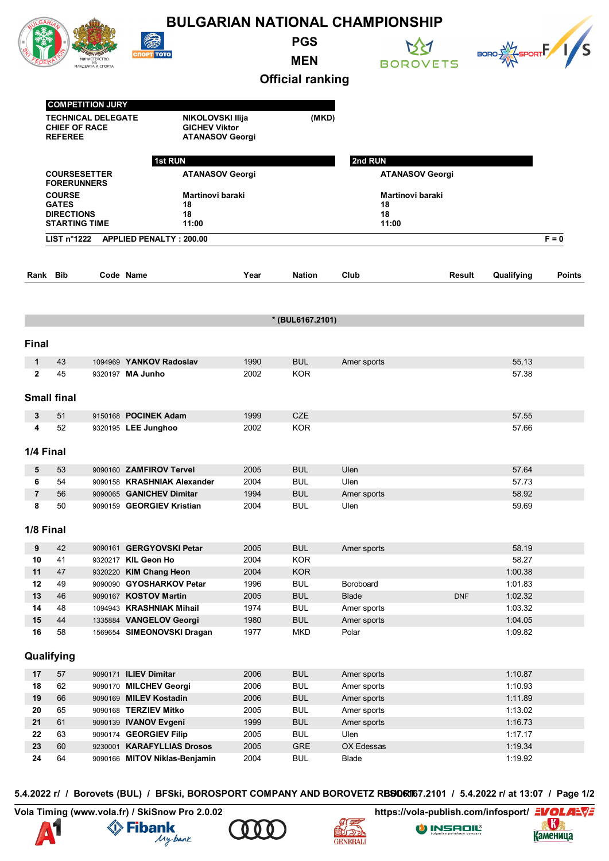| <b>BULGARIAN NATIONAL CHAMPIONSHIP</b> |                                                                                                                       |                         |                                                                    |              |                          |                            |                  |                      |               |  |
|----------------------------------------|-----------------------------------------------------------------------------------------------------------------------|-------------------------|--------------------------------------------------------------------|--------------|--------------------------|----------------------------|------------------|----------------------|---------------|--|
|                                        |                                                                                                                       | НА<br>МЛАДЕЖТА И СПОРТА | <b>СПОРТ ТОТО</b>                                                  |              | <b>PGS</b><br><b>MEN</b> |                            | <b>BOROVETS</b>  | BORO EXT SPORT F 1/S |               |  |
|                                        |                                                                                                                       |                         |                                                                    |              | <b>Official ranking</b>  |                            |                  |                      |               |  |
|                                        |                                                                                                                       |                         |                                                                    |              |                          |                            |                  |                      |               |  |
|                                        | <b>COMPETITION JURY</b><br><b>TECHNICAL DELEGATE</b><br><b>CHIEF OF RACE</b><br><b>REFEREE</b>                        |                         | NIKOLOVSKI Ilija<br><b>GICHEV Viktor</b><br><b>ATANASOV Georgi</b> | (MKD)        |                          |                            |                  |                      |               |  |
|                                        |                                                                                                                       |                         | 1st RUN                                                            |              |                          | 2nd RUN                    |                  |                      |               |  |
|                                        | <b>COURSESETTER</b><br><b>ATANASOV Georgi</b>                                                                         |                         |                                                                    |              | <b>ATANASOV Georgi</b>   |                            |                  |                      |               |  |
|                                        | <b>FORERUNNERS</b><br><b>COURSE</b><br><b>GATES</b><br>18<br><b>DIRECTIONS</b><br>18<br><b>STARTING TIME</b><br>11:00 |                         |                                                                    |              |                          |                            |                  |                      |               |  |
|                                        |                                                                                                                       |                         | Martinovi baraki                                                   |              |                          | 18                         | Martinovi baraki |                      |               |  |
|                                        |                                                                                                                       |                         |                                                                    |              |                          | 18<br>11:00                |                  |                      |               |  |
|                                        |                                                                                                                       |                         |                                                                    |              |                          |                            |                  |                      |               |  |
|                                        | LIST $n^{\circ}1222$                                                                                                  |                         | <b>APPLIED PENALTY: 200.00</b>                                     |              |                          |                            |                  |                      | $F = 0$       |  |
|                                        |                                                                                                                       |                         |                                                                    |              |                          |                            |                  |                      |               |  |
| Rank                                   | Bib                                                                                                                   |                         | Code Name                                                          | Year         | <b>Nation</b>            | Club                       | <b>Result</b>    | Qualifying           | <b>Points</b> |  |
|                                        |                                                                                                                       |                         |                                                                    |              |                          |                            |                  |                      |               |  |
|                                        |                                                                                                                       |                         |                                                                    |              |                          |                            |                  |                      |               |  |
|                                        |                                                                                                                       |                         |                                                                    |              | * (BUL6167.2101)         |                            |                  |                      |               |  |
| <b>Final</b>                           |                                                                                                                       |                         |                                                                    |              |                          |                            |                  |                      |               |  |
|                                        |                                                                                                                       |                         |                                                                    |              |                          |                            |                  |                      |               |  |
| 1                                      | 43                                                                                                                    |                         | 1094969 YANKOV Radoslav                                            | 1990         | <b>BUL</b>               | Amer sports                |                  | 55.13                |               |  |
| $\mathbf{2}$                           | 45                                                                                                                    |                         | 9320197 MA Junho                                                   | 2002         | KOR                      |                            |                  | 57.38                |               |  |
|                                        | <b>Small final</b>                                                                                                    |                         |                                                                    |              |                          |                            |                  |                      |               |  |
|                                        |                                                                                                                       |                         |                                                                    |              |                          |                            |                  |                      |               |  |
| 3<br>4                                 | 51<br>52                                                                                                              |                         | 9150168 POCINEK Adam<br>9320195 LEE Junghoo                        | 1999<br>2002 | <b>CZE</b><br><b>KOR</b> |                            |                  | 57.55<br>57.66       |               |  |
|                                        |                                                                                                                       |                         |                                                                    |              |                          |                            |                  |                      |               |  |
|                                        | 1/4 Final                                                                                                             |                         |                                                                    |              |                          |                            |                  |                      |               |  |
| 5                                      | 53                                                                                                                    |                         | 9090160 ZAMFIROV Tervel                                            | 2005         | <b>BUL</b>               | Ulen                       |                  | 57.64                |               |  |
| 6                                      | 54                                                                                                                    |                         | 9090158 KRASHNIAK Alexander                                        | 2004         | <b>BUL</b>               | Ulen                       |                  | 57.73                |               |  |
| $\overline{\mathbf{r}}$                | 56                                                                                                                    |                         | 9090065 GANICHEV Dimitar                                           | 1994         | <b>BUL</b>               | Amer sports                |                  | 58.92                |               |  |
| 8                                      | 50                                                                                                                    |                         | 9090159 GEORGIEV Kristian                                          | 2004         | <b>BUL</b>               | Ulen                       |                  | 59.69                |               |  |
|                                        |                                                                                                                       |                         |                                                                    |              |                          |                            |                  |                      |               |  |
|                                        | 1/8 Final                                                                                                             |                         |                                                                    |              |                          |                            |                  |                      |               |  |
| 9                                      | 42                                                                                                                    |                         | 9090161 GERGYOVSKI Petar                                           | 2005         | <b>BUL</b>               | Amer sports                |                  | 58.19                |               |  |
| 10                                     | 41                                                                                                                    |                         | 9320217 KIL Geon Ho                                                | 2004         | <b>KOR</b>               |                            |                  | 58.27                |               |  |
| 11<br>12                               | 47<br>49                                                                                                              |                         | 9320220 KIM Chang Heon<br>9090090 GYOSHARKOV Petar                 | 2004<br>1996 | <b>KOR</b><br><b>BUL</b> | Boroboard                  |                  | 1:00.38<br>1:01.83   |               |  |
| 13                                     | 46                                                                                                                    |                         | 9090167 KOSTOV Martin                                              | 2005         | <b>BUL</b>               | <b>Blade</b>               | <b>DNF</b>       | 1:02.32              |               |  |
| 14                                     | 48                                                                                                                    |                         | 1094943 KRASHNIAK Mihail                                           | 1974         | <b>BUL</b>               | Amer sports                |                  | 1:03.32              |               |  |
| 15                                     | 44                                                                                                                    |                         | 1335884 VANGELOV Georgi                                            | 1980         | <b>BUL</b>               | Amer sports                |                  | 1:04.05              |               |  |
| 16                                     | 58                                                                                                                    |                         | 1569654 SIMEONOVSKI Dragan                                         | 1977         | <b>MKD</b>               | Polar                      |                  | 1:09.82              |               |  |
|                                        |                                                                                                                       |                         |                                                                    |              |                          |                            |                  |                      |               |  |
|                                        | Qualifying                                                                                                            |                         |                                                                    |              |                          |                            |                  |                      |               |  |
| 17                                     | 57                                                                                                                    |                         | 9090171 ILIEV Dimitar                                              | 2006         | <b>BUL</b>               | Amer sports                |                  | 1:10.87              |               |  |
| 18                                     | 62                                                                                                                    |                         | 9090170 MILCHEV Georgi                                             | 2006         | <b>BUL</b>               | Amer sports                |                  | 1:10.93              |               |  |
| 19<br>20                               | 66<br>65                                                                                                              |                         | 9090169 MILEV Kostadin<br>9090168 TERZIEV Mitko                    | 2006<br>2005 | <b>BUL</b><br><b>BUL</b> | Amer sports<br>Amer sports |                  | 1:11.89<br>1:13.02   |               |  |
| 21                                     | 61                                                                                                                    |                         | 9090139 IVANOV Evgeni                                              | 1999         | <b>BUL</b>               | Amer sports                |                  | 1:16.73              |               |  |
| 22                                     | 63                                                                                                                    |                         | 9090174 GEORGIEV Filip                                             | 2005         | <b>BUL</b>               | Ulen                       |                  | 1:17.17              |               |  |
| 23                                     | 60                                                                                                                    |                         | 9230001 KARAFYLLIAS Drosos                                         | 2005         | GRE                      | OX Edessas                 |                  | 1:19.34              |               |  |
| 24                                     | 64                                                                                                                    |                         | 9090166 MITOV Niklas-Benjamin                                      | 2004         | <b>BUL</b>               | <b>Blade</b>               |                  | 1:19.92              |               |  |

5.4.2022 г/ / Borovets (BUL) / BFSki, BOROSPORT COMPANY AND BOROVETZ RBSORT67.2101 / 5.4.2022 г/ at 13:07 / Page 1/2









O INSADIL<sup>®</sup>